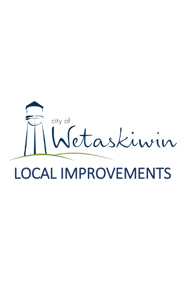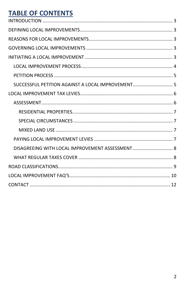# **TABLE OF CONTENTS**

| SUCCESSFUL PETITION AGAINST A LOCAL IMPROVEMENT 5 |  |
|---------------------------------------------------|--|
|                                                   |  |
|                                                   |  |
|                                                   |  |
|                                                   |  |
|                                                   |  |
|                                                   |  |
| DISAGREEING WITH LOCAL IMPROVEMENT ASSESSMENT 8   |  |
|                                                   |  |
|                                                   |  |
|                                                   |  |
|                                                   |  |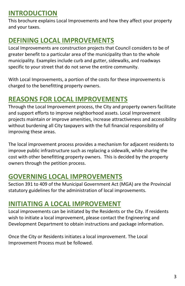# <span id="page-2-0"></span>**INTRODUCTION**

This brochure explains Local Improvements and how they affect your property and your taxes.

# <span id="page-2-1"></span>**DEFINING LOCAL IMPROVEMENTS**

Local Improvements are construction projects that Council considers to be of greater benefit to a particular area of the municipality than to the whole municipality. Examples include curb and gutter, sidewalks, and roadways specific to your street that do not serve the entire community.

With Local Improvements, a portion of the costs for these improvements is charged to the benefitting property owners.

# <span id="page-2-2"></span>**REASONS FOR LOCAL IMPROVEMENTS**

Through the Local Improvement process, the City and property owners facilitate and support efforts to improve neighborhood assets. Local Improvement projects maintain or improve amenities, increase attractiveness and accessibility without burdening all City taxpayers with the full financial responsibility of improving these areas.

The local improvement process provides a mechanism for adjacent residents to improve public infrastructure such as replacing a sidewalk, while sharing the cost with other benefitting property owners. This is decided by the property owners through the petition process.

# <span id="page-2-3"></span>**GOVERNING LOCAL IMPROVEMENTS**

Section 391 to 409 of the Municipal Government Act (MGA) are the Provincial statutory guidelines for the administration of local improvements.

# <span id="page-2-4"></span>**INITIATING A LOCAL IMPROVEMENT**

Local improvements can be initiated by the Residents or the City. If residents wish to initiate a local improvement, please contact the Engineering and Development Department to obtain instructions and package information.

<span id="page-2-5"></span>Once the City or Residents initiates a local improvement. The Local Improvement Process must be followed.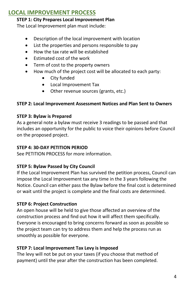## **LOCAL IMPROVEMENT PROCESS**

#### **STEP 1: City Prepares Local Improvement Plan**

The Local Improvement plan must include:

- Description of the local improvement with location
- List the properties and persons responsible to pay
- How the tax rate will be established
- Estimated cost of the work
- Term of cost to the property owners
- How much of the project cost will be allocated to each party:
	- City funded
	- Local Improvement Tax
	- Other revenue sources (grants, etc.)

### **STEP 2: Local Improvement Assessment Notices and Plan Sent to Owners**

### **STEP 3: Bylaw is Prepared**

As a general note a bylaw must receive 3 readings to be passed and that includes an opportunity for the public to voice their opinions before Council on the proposed project.

### **STEP 4: 30-DAY PETITION PERIOD**

See PETITION PROCESS for more information.

### **STEP 5: Bylaw Passed by City Council**

If the Local Improvement Plan has survived the petition process, Council can impose the Local Improvement tax any time in the 3 years following the Notice. Council can either pass the Bylaw before the final cost is determined or wait until the project is complete and the final costs are determined.

## **STEP 6: Project Construction**

An open house will be held to give those affected an overview of the construction process and find out how it will affect them specifically. Everyone is encouraged to bring concerns forward as soon as possible so the project team can try to address them and help the process run as smoothly as possible for everyone.

### **STEP 7: Local Improvement Tax Levy is Imposed**

The levy will not be put on your taxes (if you choose that method of payment) until the year after the construction has been completed.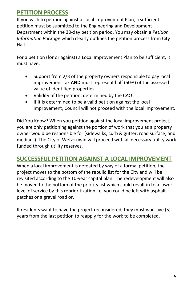# <span id="page-4-0"></span>**PETITION PROCESS**

If you wish to petition against a Local Improvement Plan, a sufficient petition must be submitted to the Engineering and Development Department within the 30-day petition period. You may obtain a *Petition Information Package* which clearly outlines the petition process from City Hall.

For a petition (for or against) a Local Improvement Plan to be sufficient, it must have:

- Support from 2/3 of the property owners responsible to pay local improvement tax **AND** must represent half (50%) of the assessed value of identified properties.
- Validity of the petition, determined by the CAO
- If it is determined to be a valid petition against the local improvement, Council will not proceed with the local improvement.

Did You Know? When you petition against the local improvement project, you are only petitioning against the portion of work that you as a property owner would be responsible for (sidewalks, curb & gutter, road surface, and medians). The City of Wetaskiwin will proceed with all necessary utility work funded through utility reserves.

# <span id="page-4-1"></span>**SUCCESSFUL PETITION AGAINST A LOCAL IMPROVEMENT**

When a local improvement is defeated by way of a formal petition, the project moves to the bottom of the rebuild list for the City and will be revisited according to the 10-year capital plan. The redevelopment will also be moved to the bottom of the priority list which could result in to a lower level of service by this reprioritization i.e. you could be left with asphalt patches or a gravel road or.

<span id="page-4-2"></span>If residents want to have the project reconsidered, they must wait five (5) years from the last petition to reapply for the work to be completed.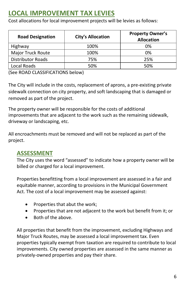# **LOCAL IMPROVEMENT TAX LEVIES**

Cost allocations for local improvement projects will be levies as follows:

| <b>Road Designation</b>  | <b>City's Allocation</b> | <b>Property Owner's</b><br><b>Allocation</b> |
|--------------------------|--------------------------|----------------------------------------------|
| Highway                  | 100%                     | 0%                                           |
| Major Truck Route        | 100%                     | 0%                                           |
| <b>Distributor Roads</b> | 75%                      | 25%                                          |
| Local Roads              | 50%                      | 50%                                          |

(See ROAD CLASSIFICATIONS below)

The City will include in the costs, replacement of aprons, a pre-existing private sidewalk connection on city property, and soft landscaping that is damaged or removed as part of the project.

The property owner will be responsible for the costs of additional improvements that are adjacent to the work such as the remaining sidewalk, driveway or landscaping, etc.

All encroachments must be removed and will not be replaced as part of the project.

# <span id="page-5-0"></span>**ASSESSMENT**

The City uses the word "assessed" to indicate how a property owner will be billed or charged for a local improvement.

Properties benefitting from a local improvement are assessed in a fair and equitable manner, according to provisions in the Municipal Government Act. The cost of a local improvement may be assessed against:

- Properties that abut the work;
- Properties that are not adjacent to the work but benefit from it; or
- Both of the above.

All properties that benefit from the improvement, excluding Highways and Major Truck Routes, may be assessed a local improvement tax. Even properties typically exempt from taxation are required to contribute to local improvements. City owned properties are assessed in the same manner as privately-owned properties and pay their share.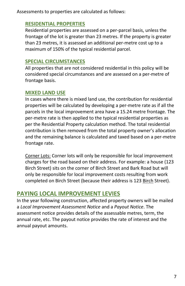<span id="page-6-0"></span>Assessments to properties are calculated as follows:

## **RESIDENTIAL PROPERTIES**

Residential properties are assessed on a per-parcel basis, unless the frontage of the lot is greater than 23 metres. If the property is greater than 23 metres, it is assessed an additional per-metre cost up to a maximum of 150% of the typical residential parcel.

## <span id="page-6-1"></span>**SPECIAL CIRCUMSTANCES**

All properties that are not considered residential in this policy will be considered special circumstances and are assessed on a per-metre of frontage basis.

## <span id="page-6-2"></span>**MIXED LAND USE**

In cases where there is mixed land use, the contribution for residential properties will be calculated by developing a per-metre rate as if all the parcels in the local improvement area have a 15.24 metre frontage. The per-metre rate is then applied to the typical residential properties as per the Residential Property calculation method. The total residential contribution is then removed from the total property owner's allocation and the remaining balance is calculated and taxed based on a per-metre frontage rate.

Corner Lots: Corner lots will only be responsible for local improvement charges for the road based on their address. For example: a house (123 Birch Street) sits on the corner of Birch Street and Bark Road but will only be responsible for local improvement costs resulting from work completed on Birch Street (because their address is 123 Birch Street).

# <span id="page-6-3"></span>**PAYING LOCAL IMPROVEMENT LEVIES**

In the year following construction, affected property owners will be mailed a *Local Improvement Assessment Notice* and a *Payout Notice*. The assessment notice provides details of the assessable metres, term, the annual rate, etc. The payout notice provides the rate of interest and the annual payout amounts.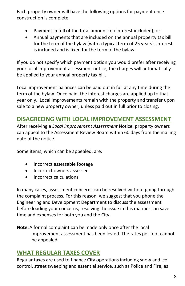Each property owner will have the following options for payment once construction is complete:

- Payment in full of the total amount (no interest included); or
- Annual payments that are included on the annual property tax bill for the term of the bylaw (with a typical term of 25 years). Interest is included and is fixed for the term of the bylaw.

If you do not specify which payment option you would prefer after receiving your local improvement assessment notice, the charges will automatically be applied to your annual property tax bill.

Local improvement balances can be paid out in full at any time during the term of the bylaw. Once paid, the interest charges are applied up to that year only. Local Improvements remain with the property and transfer upon sale to a new property owner, unless paid out in full prior to closing.

## <span id="page-7-0"></span>**DISAGREEING WITH LOCAL IMPROVEMENT ASSESSMENT**

After receiving a *Local Improvement Assessment* Notice, property owners can appeal to the Assessment Review Board within 60 days from the mailing date of the notice.

Some items, which can be appealed, are:

- Incorrect assessable footage
- Incorrect owners assessed
- Incorrect calculations

In many cases, assessment concerns can be resolved without going through the complaint process. For this reason, we suggest that you phone the Engineering and Development Department to discuss the assessment before loading your concerns; resolving the issue in this manner can save time and expenses for both you and the City.

**Note:**A formal complaint can be made only once after the local improvement assessment has been levied. The rates per foot cannot be appealed.

# <span id="page-7-1"></span>**WHAT REGULAR TAXES COVER**

Regular taxes are used to finance City operations including snow and ice control, street sweeping and essential service, such as Police and Fire, as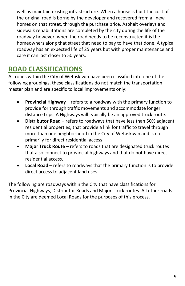well as maintain existing infrastructure. When a house is built the cost of the original road is borne by the developer and recovered from all new homes on that street, through the purchase price. Asphalt overlays and sidewalk rehabilitations are completed by the city during the life of the roadway however, when the road needs to be reconstructed it is the homeowners along that street that need to pay to have that done. A typical roadway has an expected life of 25 years but with proper maintenance and care it can last closer to 50 years.

# <span id="page-8-0"></span>**ROAD CLASSIFICATIONS**

All roads within the City of Wetaskiwin have been classified into one of the following groupings, these classifications do not match the transportation master plan and are specific to local improvements only:

- **Provincial Highway** refers to a roadway with the primary function to provide for through traffic movements and accommodate longer distance trips. A Highways will typically be an approved truck route.
- **Distributor Road** refers to roadways that have less than 50% adjacent residential properties, that provide a link for traffic to travel through more than one neighborhood in the City of Wetaskiwin and is not primarily for direct residential access
- **Major Truck Route** refers to roads that are designated truck routes that also connect to provincial highways and that do not have direct residential access.
- **Local Road** refers to roadways that the primary function is to provide direct access to adjacent land uses.

The following are roadways within the City that have classifications for Provincial Highways, Distributor Roads and Major Truck routes. All other roads in the City are deemed Local Roads for the purposes of this process.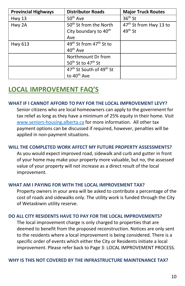| <b>Provincial Highways</b> | <b>Distributor Roads</b>                         | <b>Major Truck Routes</b>          |  |  |
|----------------------------|--------------------------------------------------|------------------------------------|--|--|
| <b>Hwy 13</b>              | 50 <sup>th</sup> Ave                             | $36th$ St                          |  |  |
| Hwy 2A                     | 50 <sup>th</sup> St from the North               | 47 <sup>th</sup> St from Hwy 13 to |  |  |
|                            | City boundary to 40 <sup>th</sup>                | 49 <sup>th</sup> St                |  |  |
|                            | Ave                                              |                                    |  |  |
| <b>Hwy 613</b>             | 49 <sup>th</sup> St from 47 <sup>th</sup> St to  |                                    |  |  |
|                            | 40 <sup>th</sup> Ave                             |                                    |  |  |
|                            | Northmount Dr from                               |                                    |  |  |
|                            | 50 <sup>th</sup> St to 47 <sup>th</sup> St       |                                    |  |  |
|                            | 47 <sup>th</sup> St South of 49 <sup>th</sup> St |                                    |  |  |
|                            | to 40 <sup>th</sup> Ave                          |                                    |  |  |

# <span id="page-9-0"></span>**LOCAL IMPROVEMENT FAQ'S**

#### **WHAT IF I CANNOT AFFORD TO PAY FOR THE LOCAL IMPROVEMENT LEVY?**

Senior citizens who are local homeowners can apply to the government for tax relief as long as they have a minimum of 25% equity in their home. Visit [www.seniors-housing.alberta.ca](https://www.alberta.ca/ministry-seniors-housing.aspx) for more information. All other tax payment options can be discussed if required, however, penalties will be applied in non-payment situations.

### **WILL THE COMPLETED WORK AFFECT MY FUTURE PROPERTY ASSESSMENTS?**

As you would expect improved road, sidewalk and curb and gutter in front of your home may make your property more valuable, but no, the assessed value of your property will not increase as a direct result of the local improvement.

#### **WHAT AM I PAYING FOR WITH THE LOCAL IMPROVEMENT TAX?**

Property owners in your area will be asked to contribute a percentage of the cost of roads and sidewalks only. The utility work is funded through the City of Wetaskiwin utility reserve.

### **DO ALL CITY RESIDENTS HAVE TO PAY FOR THE LOCAL IMPROVEMENTS?**

The local improvement charge is only charged to properties that are deemed to benefit from the proposed reconstruction. Notices are only sent to the residents where a local improvement is being considered. There is a specific order of events which either the City or Residents initiate a local improvement. Please refer back to Page 3: LOCAL IMPROVEMENT PROCESS.

#### **WHY IS THIS NOT COVERED BY THE INFRASTRUCTURE MAINTENANCE TAX?**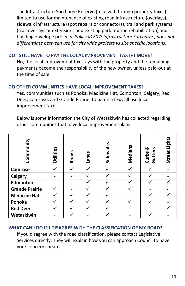The Infrastructure Surcharge Reserve (received through property taxes) is limited to use for maintenance of existing road infrastructure (overlays), sidewalk infrastructure (spot repairs or connectors), trail and park systems (trail overlays or extensions and existing park routine rehabilitation) and building envelope projects. *Policy #1807: Infrastructure Surcharge, does not differentiate between use for city wide projects vs site specific locations*.

### **DO I STILL HAVE TO PAY THE LOCAL IMPROVEMENT TAX IF I MOVE?**

No, the local improvement tax stays with the property and the remaining payments become the responsibility of the new owner, unless paid-out at the time of sale.

### **DO OTHER COMMUNITIES HAVE LOCAL IMPROVEMENT TAXES?**

Yes, communities such as Ponoka, Medicine Hat, Edmonton, Calgary, Red Deer, Camrose, and Grande Prairie, to name a few, all use local improvement taxes.

Below is some information the City of Wetaskiwin has collected regarding other communities that have local improvement plans.

| Community             | Utilities | Roads | Lanes | Sidewalks | Medians | ఱ<br>Gutters<br>Curbs | Street Lights |
|-----------------------|-----------|-------|-------|-----------|---------|-----------------------|---------------|
| Camrose               |           |       |       |           |         |                       |               |
| Calgary               |           |       |       |           |         |                       |               |
| <b>Edmonton</b>       |           |       |       |           |         |                       |               |
| <b>Grande Prairie</b> |           |       |       |           |         |                       |               |
| <b>Medicine Hat</b>   |           |       |       |           |         |                       |               |
| Ponoka                |           |       |       |           |         |                       |               |
| <b>Red Deer</b>       |           |       |       |           |         |                       |               |
| Wetaskiwin            |           |       |       |           |         |                       |               |

### **WHAT CAN I DO IF I DISAGREE WITH THE CLASSIFICATION OF MY ROAD?**

<span id="page-10-0"></span>If you disagree with the road classification, please contact Legislative Services directly. They will explain how you can approach Council to have your concerns heard.